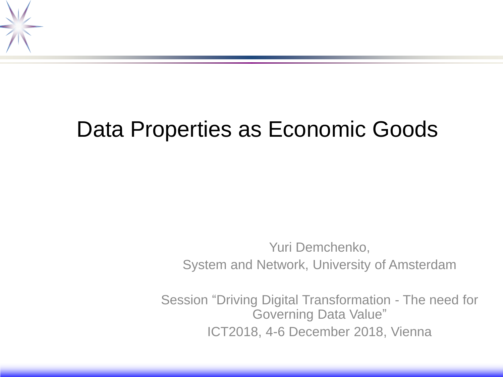

# Data Properties as Economic Goods

Yuri Demchenko, System and Network, University of Amsterdam

Session "Driving Digital Transformation - The need for Governing Data Value" ICT2018, 4-6 December 2018, Vienna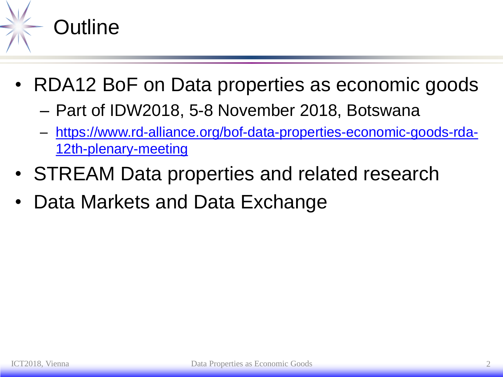

- RDA12 BoF on Data properties as economic goods
	- Part of IDW2018, 5-8 November 2018, Botswana
	- [https://www.rd-alliance.org/bof-data-properties-economic-goods-rda-](https://www.rd-alliance.org/bof-data-properties-economic-goods-rda-12th-plenary-meeting)12th-plenary-meeting
- STREAM Data properties and related research
- Data Markets and Data Exchange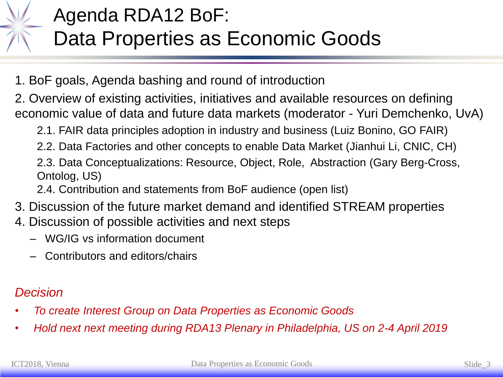

#### Agenda RDA12 BoF: Data Properties as Economic Goods

- 1. BoF goals, Agenda bashing and round of introduction
- 2. Overview of existing activities, initiatives and available resources on defining economic value of data and future data markets (moderator - Yuri Demchenko, UvA)
	- 2.1. FAIR data principles adoption in industry and business (Luiz Bonino, GO FAIR)
	- 2.2. Data Factories and other concepts to enable Data Market (Jianhui Li, CNIC, CH)
	- 2.3. Data Conceptualizations: Resource, Object, Role, Abstraction (Gary Berg-Cross, Ontolog, US)
	- 2.4. Contribution and statements from BoF audience (open list)
- 3. Discussion of the future market demand and identified STREAM properties
- 4. Discussion of possible activities and next steps
	- WG/IG vs information document
	- Contributors and editors/chairs

#### *Decision*

- *To create Interest Group on Data Properties as Economic Goods*
- *Hold next next meeting during RDA13 Plenary in Philadelphia, US on 2-4 April 2019*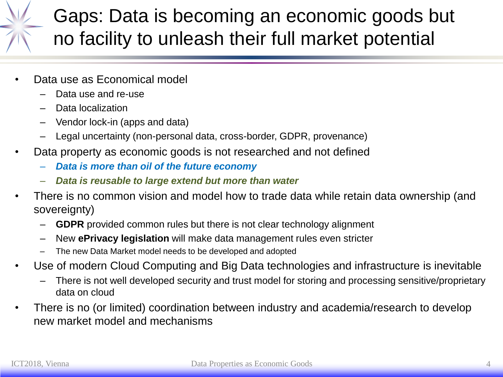#### Gaps: Data is becoming an economic goods but no facility to unleash their full market potential

- Data use as Economical model
	- Data use and re-use
	- Data localization
	- Vendor lock-in (apps and data)
	- Legal uncertainty (non-personal data, cross-border, GDPR, provenance)
- Data property as economic goods is not researched and not defined
	- *Data is more than oil of the future economy*
	- *Data is reusable to large extend but more than water*
- There is no common vision and model how to trade data while retain data ownership (and sovereignty)
	- **GDPR** provided common rules but there is not clear technology alignment
	- New **ePrivacy legislation** will make data management rules even stricter
	- The new Data Market model needs to be developed and adopted
- Use of modern Cloud Computing and Big Data technologies and infrastructure is inevitable
	- There is not well developed security and trust model for storing and processing sensitive/proprietary data on cloud
- There is no (or limited) coordination between industry and academia/research to develop new market model and mechanisms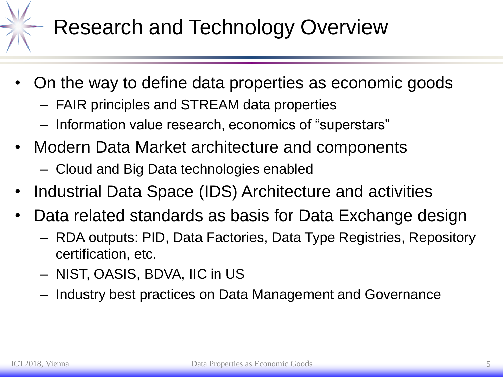

# Research and Technology Overview

- On the way to define data properties as economic goods
	- FAIR principles and STREAM data properties
	- Information value research, economics of "superstars"
- Modern Data Market architecture and components
	- Cloud and Big Data technologies enabled
- Industrial Data Space (IDS) Architecture and activities
- Data related standards as basis for Data Exchange design
	- RDA outputs: PID, Data Factories, Data Type Registries, Repository certification, etc.
	- NIST, OASIS, BDVA, IIC in US
	- Industry best practices on Data Management and Governance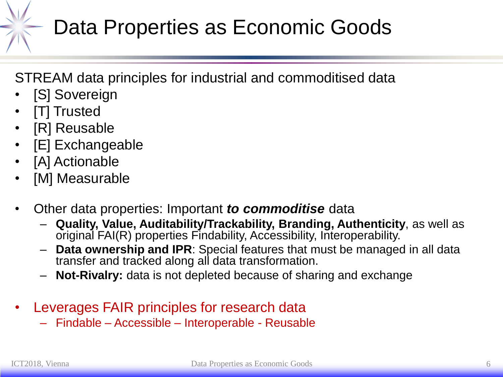# Data Properties as Economic Goods

STREAM data principles for industrial and commoditised data

- [S] Sovereign
- [T] Trusted
- [R] Reusable
- [E] Exchangeable
- [A] Actionable
- [M] Measurable
- Other data properties: Important *to commoditise* data
	- **Quality, Value, Auditability/Trackability, Branding, Authenticity**, as well as original FAI(R) properties Findability, Accessibility, Interoperability.
	- **Data ownership and IPR**: Special features that must be managed in all data transfer and tracked along all data transformation.
	- **Not-Rivalry:** data is not depleted because of sharing and exchange
- Leverages FAIR principles for research data
	- Findable Accessible Interoperable Reusable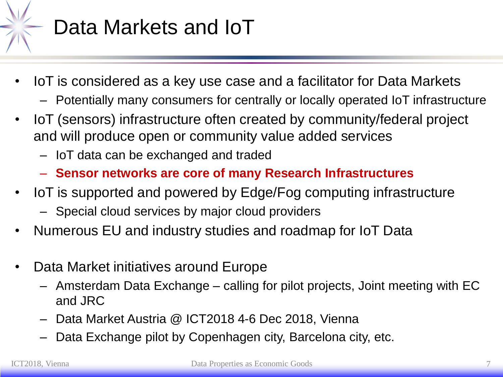

## Data Markets and IoT

- IoT is considered as a key use case and a facilitator for Data Markets
	- Potentially many consumers for centrally or locally operated IoT infrastructure
- IoT (sensors) infrastructure often created by community/federal project and will produce open or community value added services
	- IoT data can be exchanged and traded
	- **Sensor networks are core of many Research Infrastructures**
- IoT is supported and powered by Edge/Fog computing infrastructure
	- Special cloud services by major cloud providers
- Numerous EU and industry studies and roadmap for IoT Data
- Data Market initiatives around Europe
	- Amsterdam Data Exchange calling for pilot projects, Joint meeting with EC and JRC
	- Data Market Austria @ ICT2018 4-6 Dec 2018, Vienna
	- Data Exchange pilot by Copenhagen city, Barcelona city, etc.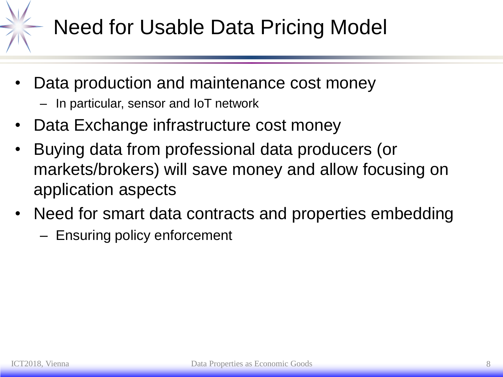# Need for Usable Data Pricing Model

- Data production and maintenance cost money
	- In particular, sensor and IoT network
- Data Exchange infrastructure cost money
- Buying data from professional data producers (or markets/brokers) will save money and allow focusing on application aspects
- Need for smart data contracts and properties embedding
	- Ensuring policy enforcement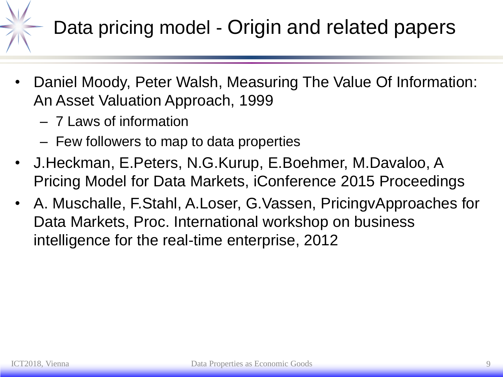# Data pricing model - Origin and related papers

- Daniel Moody, Peter Walsh, Measuring The Value Of Information: An Asset Valuation Approach, 1999
	- 7 Laws of information
	- Few followers to map to data properties
- J.Heckman, E.Peters, N.G.Kurup, E.Boehmer, M.Davaloo, A Pricing Model for Data Markets, iConference 2015 Proceedings
- A. Muschalle, F.Stahl, A.Loser, G.Vassen, PricingvApproaches for Data Markets, Proc. International workshop on business intelligence for the real-time enterprise, 2012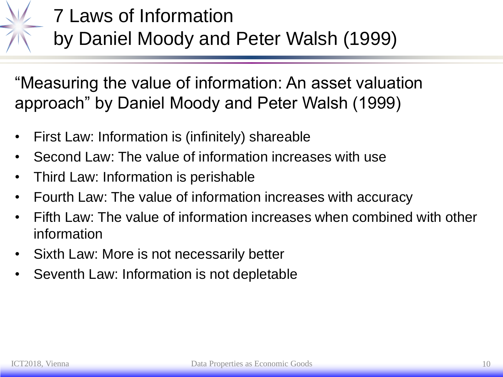

#### 7 Laws of Information by Daniel Moody and Peter Walsh (1999)

"Measuring the value of information: An asset valuation approach" by Daniel Moody and Peter Walsh (1999)

- First Law: Information is (infinitely) shareable
- Second Law: The value of information increases with use
- Third Law: Information is perishable
- Fourth Law: The value of information increases with accuracy
- Fifth Law: The value of information increases when combined with other information
- Sixth Law: More is not necessarily better
- Seventh Law: Information is not depletable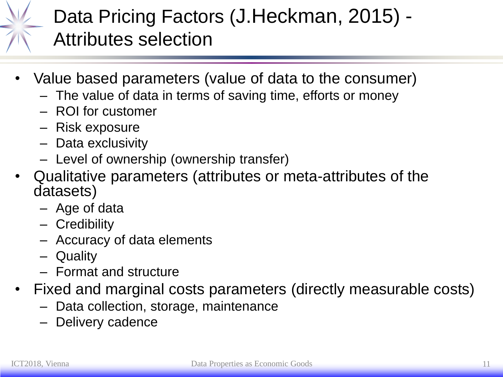#### Data Pricing Factors (J.Heckman, 2015) - Attributes selection

- Value based parameters (value of data to the consumer)
	- The value of data in terms of saving time, efforts or money
	- ROI for customer
	- Risk exposure
	- Data exclusivity
	- Level of ownership (ownership transfer)
- Qualitative parameters (attributes or meta-attributes of the datasets)
	- Age of data
	- Credibility
	- Accuracy of data elements
	- Quality
	- Format and structure
- Fixed and marginal costs parameters (directly measurable costs)
	- Data collection, storage, maintenance
	- Delivery cadence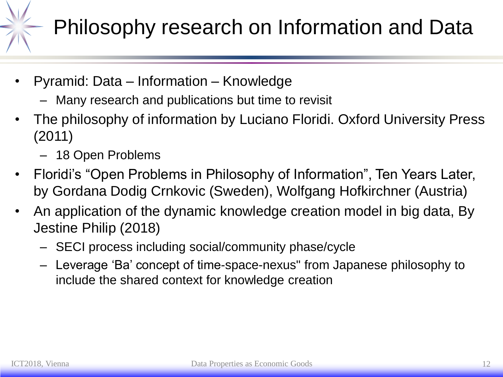# Philosophy research on Information and Data

- Pyramid: Data Information Knowledge
	- Many research and publications but time to revisit
- The philosophy of information by Luciano Floridi. Oxford University Press (2011)
	- 18 Open Problems
- Floridi's "Open Problems in Philosophy of Information", Ten Years Later, by Gordana Dodig Crnkovic (Sweden), Wolfgang Hofkirchner (Austria)
- An application of the dynamic knowledge creation model in big data, By Jestine Philip (2018)
	- SECI process including social/community phase/cycle
	- Leverage 'Ba' concept of time-space-nexus" from Japanese philosophy to include the shared context for knowledge creation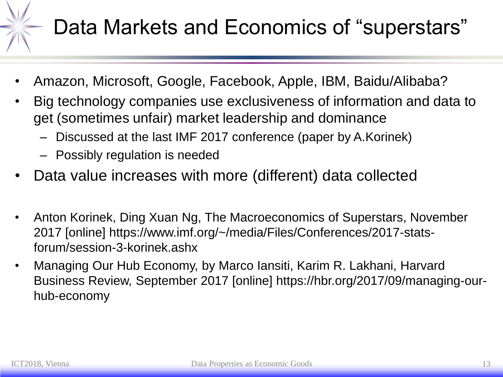# Data Markets and Economics of "superstars"

- Amazon, Microsoft, Google, Facebook, Apple, IBM, Baidu/Alibaba?
- Big technology companies use exclusiveness of information and data to get (sometimes unfair) market leadership and dominance
	- Discussed at the last IMF 2017 conference (paper by A.Korinek)
	- Possibly regulation is needed
- Data value increases with more (different) data collected
- Anton Korinek, Ding Xuan Ng, The Macroeconomics of Superstars, November 2017 [online] https://www.imf.org/~/media/Files/Conferences/2017-statsforum/session-3-korinek.ashx
- Managing Our Hub Economy, by Marco Iansiti, Karim R. Lakhani, Harvard Business Review, September 2017 [online] https://hbr.org/2017/09/managing-ourhub-economy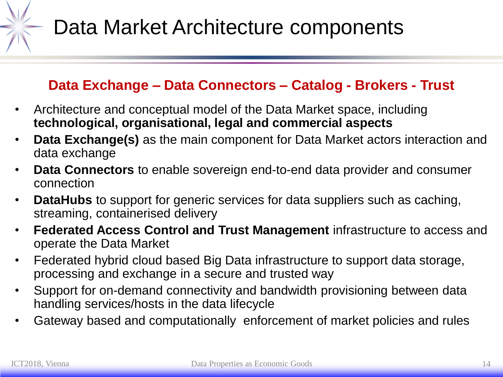

#### **Data Exchange – Data Connectors – Catalog - Brokers - Trust**

- Architecture and conceptual model of the Data Market space, including **technological, organisational, legal and commercial aspects**
- **Data Exchange(s)** as the main component for Data Market actors interaction and data exchange
- **Data Connectors** to enable sovereign end-to-end data provider and consumer connection
- **DataHubs** to support for generic services for data suppliers such as caching, streaming, containerised delivery
- **Federated Access Control and Trust Management** infrastructure to access and operate the Data Market
- Federated hybrid cloud based Big Data infrastructure to support data storage, processing and exchange in a secure and trusted way
- Support for on-demand connectivity and bandwidth provisioning between data handling services/hosts in the data lifecycle
- Gateway based and computationally enforcement of market policies and rules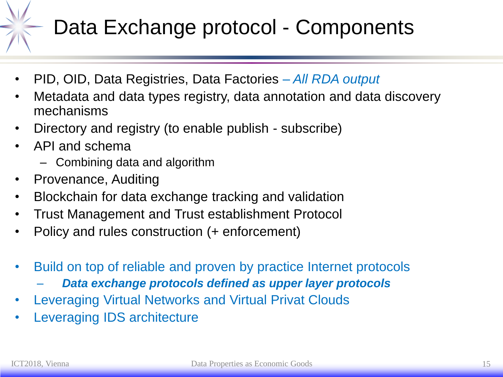# Data Exchange protocol - Components

- PID, OID, Data Registries, Data Factories *– All RDA output*
- Metadata and data types registry, data annotation and data discovery mechanisms
- Directory and registry (to enable publish subscribe)
- API and schema
	- Combining data and algorithm
- Provenance, Auditing
- Blockchain for data exchange tracking and validation
- Trust Management and Trust establishment Protocol
- Policy and rules construction (+ enforcement)
- Build on top of reliable and proven by practice Internet protocols
	- *Data exchange protocols defined as upper layer protocols*
- Leveraging Virtual Networks and Virtual Privat Clouds
- Leveraging IDS architecture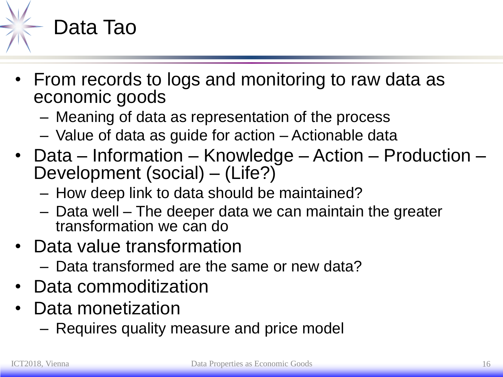

- From records to logs and monitoring to raw data as economic goods
	- Meaning of data as representation of the process
	- Value of data as guide for action Actionable data
- Data Information Knowledge Action Production Development (social) – (Life?)
	- How deep link to data should be maintained?
	- Data well The deeper data we can maintain the greater transformation we can do
- Data value transformation
	- Data transformed are the same or new data?
- Data commoditization
- Data monetization
	- Requires quality measure and price model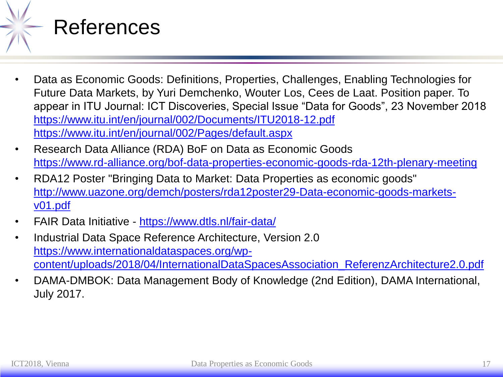

- Data as Economic Goods: Definitions, Properties, Challenges, Enabling Technologies for Future Data Markets, by Yuri Demchenko, Wouter Los, Cees de Laat. Position paper. To appear in ITU Journal: ICT Discoveries, Special Issue "Data for Goods", 23 November 2018 <https://www.itu.int/en/journal/002/Documents/ITU2018-12.pdf> <https://www.itu.int/en/journal/002/Pages/default.aspx>
- Research Data Alliance (RDA) BoF on Data as Economic Goods <https://www.rd-alliance.org/bof-data-properties-economic-goods-rda-12th-plenary-meeting>
- RDA12 Poster "Bringing Data to Market: Data Properties as economic goods" [http://www.uazone.org/demch/posters/rda12poster29-Data-economic-goods-markets](http://www.uazone.org/demch/posters/rda12poster29-Data-economic-goods-markets-v01.pdf)v01.pdf
- FAIR Data Initiative <https://www.dtls.nl/fair-data/>
- Industrial Data Space Reference Architecture, Version 2.0 https://www.internationaldataspaces.org/wp[content/uploads/2018/04/InternationalDataSpacesAssociation\\_ReferenzArchitecture2.0.pdf](https://www.internationaldataspaces.org/wp-content/uploads/2018/04/InternationalDataSpacesAssociation_ReferenzArchitecture2.0.pdf)
- DAMA-DMBOK: Data Management Body of Knowledge (2nd Edition), DAMA International, July 2017.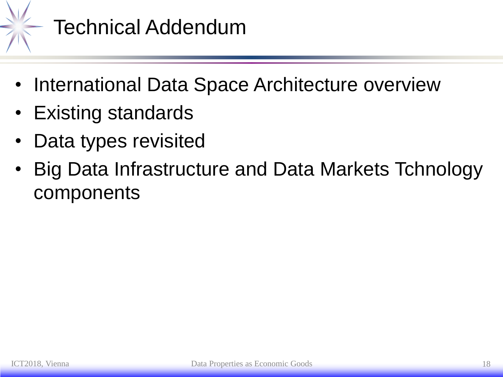

#### Technical Addendum

- International Data Space Architecture overview
- Existing standards
- Data types revisited
- Big Data Infrastructure and Data Markets Tchnology components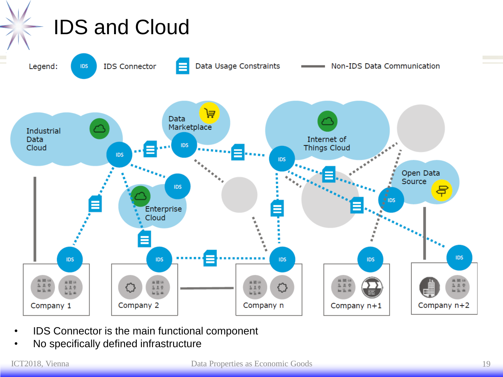

- IDS Connector is the main functional component
- No specifically defined infrastructure